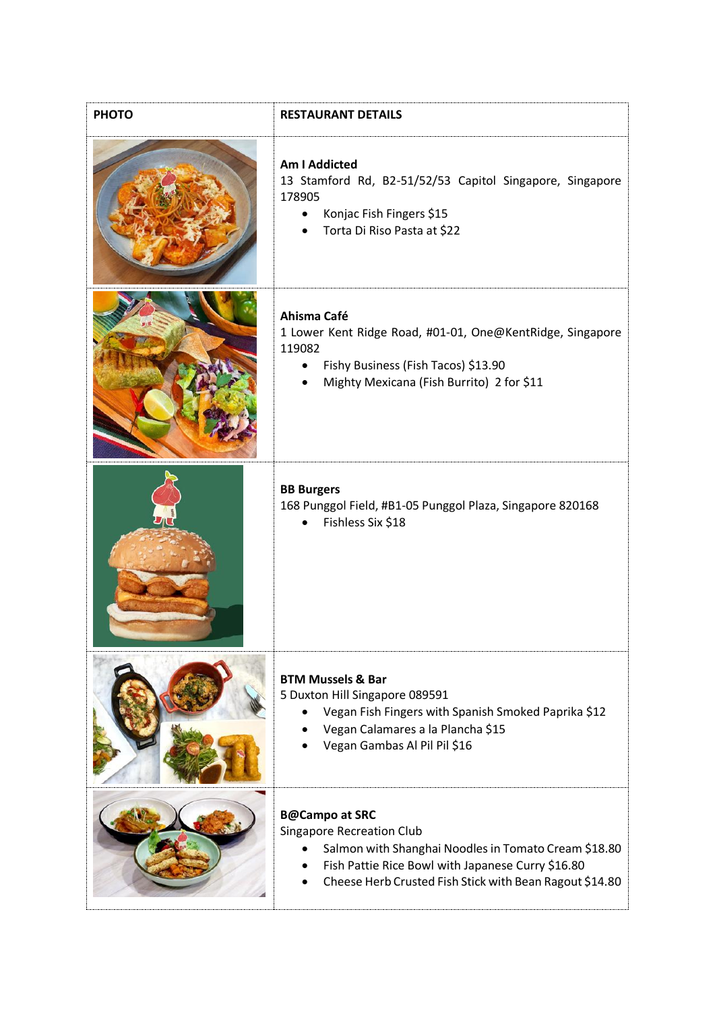| <b>PHOTO</b> | <b>RESTAURANT DETAILS</b>                                                                                                                                                                                                         |
|--------------|-----------------------------------------------------------------------------------------------------------------------------------------------------------------------------------------------------------------------------------|
|              | <b>Am I Addicted</b><br>13 Stamford Rd, B2-51/52/53 Capitol Singapore, Singapore<br>178905<br>Konjac Fish Fingers \$15<br>$\bullet$<br>Torta Di Riso Pasta at \$22                                                                |
|              | Ahisma Café<br>1 Lower Kent Ridge Road, #01-01, One@KentRidge, Singapore<br>119082<br>Fishy Business (Fish Tacos) \$13.90<br>Mighty Mexicana (Fish Burrito) 2 for \$11                                                            |
|              | <b>BB Burgers</b><br>168 Punggol Field, #B1-05 Punggol Plaza, Singapore 820168<br>Fishless Six \$18                                                                                                                               |
|              | <b>BTM Mussels &amp; Bar</b><br>5 Duxton Hill Singapore 089591<br>Vegan Fish Fingers with Spanish Smoked Paprika \$12<br>Vegan Calamares a la Plancha \$15<br>Vegan Gambas Al Pil Pil \$16                                        |
|              | <b>B@Campo at SRC</b><br><b>Singapore Recreation Club</b><br>Salmon with Shanghai Noodles in Tomato Cream \$18.80<br>Fish Pattie Rice Bowl with Japanese Curry \$16.80<br>Cheese Herb Crusted Fish Stick with Bean Ragout \$14.80 |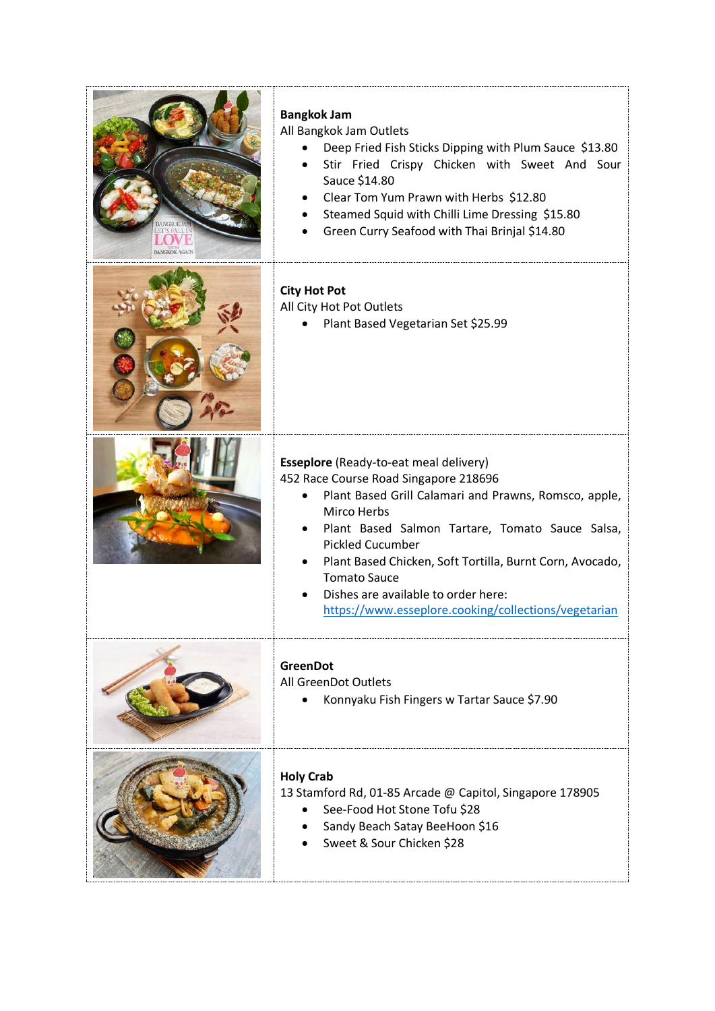| <b>Bangkok Jam</b><br>All Bangkok Jam Outlets<br>Deep Fried Fish Sticks Dipping with Plum Sauce \$13.80<br>Stir Fried Crispy Chicken with Sweet And Sour<br>Sauce \$14.80<br>Clear Tom Yum Prawn with Herbs \$12.80<br>Steamed Squid with Chilli Lime Dressing \$15.80<br>Green Curry Seafood with Thai Brinjal \$14.80                                                                                                        |
|--------------------------------------------------------------------------------------------------------------------------------------------------------------------------------------------------------------------------------------------------------------------------------------------------------------------------------------------------------------------------------------------------------------------------------|
| <b>City Hot Pot</b><br>All City Hot Pot Outlets<br>Plant Based Vegetarian Set \$25.99                                                                                                                                                                                                                                                                                                                                          |
| <b>Esseplore</b> (Ready-to-eat meal delivery)<br>452 Race Course Road Singapore 218696<br>Plant Based Grill Calamari and Prawns, Romsco, apple,<br>Mirco Herbs<br>Plant Based Salmon Tartare, Tomato Sauce Salsa,<br><b>Pickled Cucumber</b><br>Plant Based Chicken, Soft Tortilla, Burnt Corn, Avocado,<br><b>Tomato Sauce</b><br>Dishes are available to order here:<br>https://www.esseplore.cooking/collections/vegetarian |
| <b>GreenDot</b><br>All GreenDot Outlets<br>Konnyaku Fish Fingers w Tartar Sauce \$7.90                                                                                                                                                                                                                                                                                                                                         |
| <b>Holy Crab</b><br>13 Stamford Rd, 01-85 Arcade @ Capitol, Singapore 178905<br>See-Food Hot Stone Tofu \$28<br>Sandy Beach Satay BeeHoon \$16<br>Sweet & Sour Chicken \$28                                                                                                                                                                                                                                                    |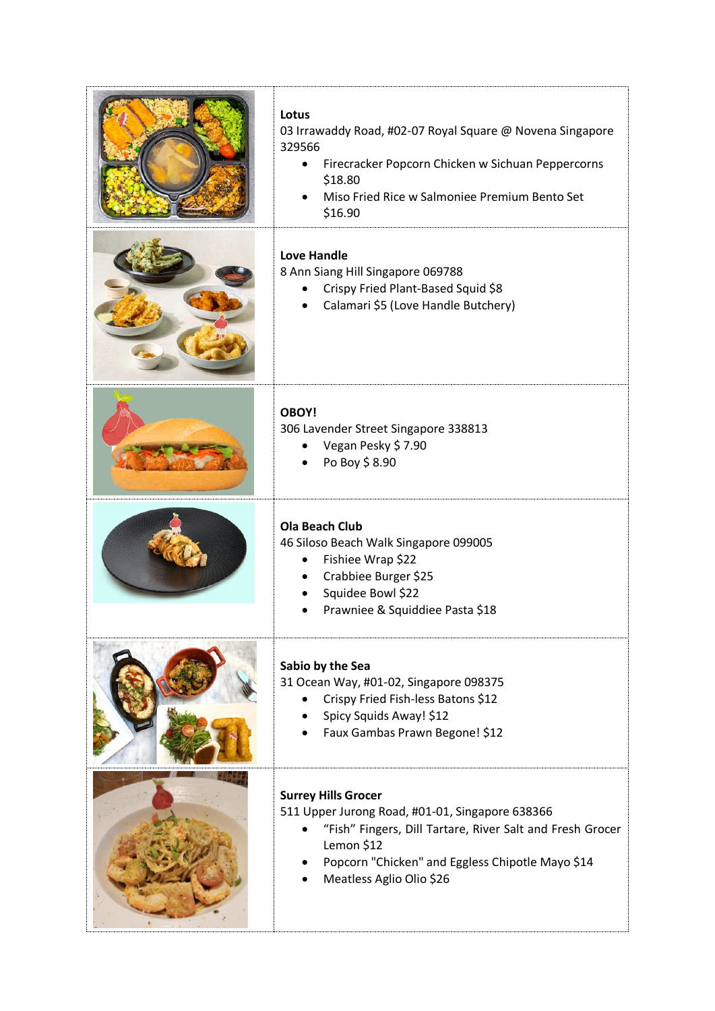| Lotus<br>03 Irrawaddy Road, #02-07 Royal Square @ Novena Singapore<br>329566<br>Firecracker Popcorn Chicken w Sichuan Peppercorns<br>\$18.80<br>Miso Fried Rice w Salmoniee Premium Bento Set<br>\$16.90                                 |
|------------------------------------------------------------------------------------------------------------------------------------------------------------------------------------------------------------------------------------------|
| <b>Love Handle</b><br>8 Ann Siang Hill Singapore 069788<br>Crispy Fried Plant-Based Squid \$8<br>Calamari \$5 (Love Handle Butchery)                                                                                                     |
| <b>OBOY!</b><br>306 Lavender Street Singapore 338813<br>Vegan Pesky \$7.90<br>Po Boy \$8.90                                                                                                                                              |
| <b>Ola Beach Club</b><br>46 Siloso Beach Walk Singapore 099005<br>Fishiee Wrap \$22<br>Crabbiee Burger \$25<br>Squidee Bowl \$22<br>Prawniee & Squiddiee Pasta \$18                                                                      |
| Sabio by the Sea<br>31 Ocean Way, #01-02, Singapore 098375<br>Crispy Fried Fish-less Batons \$12<br>Spicy Squids Away! \$12<br>Faux Gambas Prawn Begone! \$12                                                                            |
| <b>Surrey Hills Grocer</b><br>511 Upper Jurong Road, #01-01, Singapore 638366<br>"Fish" Fingers, Dill Tartare, River Salt and Fresh Grocer<br>Lemon \$12<br>Popcorn "Chicken" and Eggless Chipotle Mayo \$14<br>Meatless Aglio Olio \$26 |